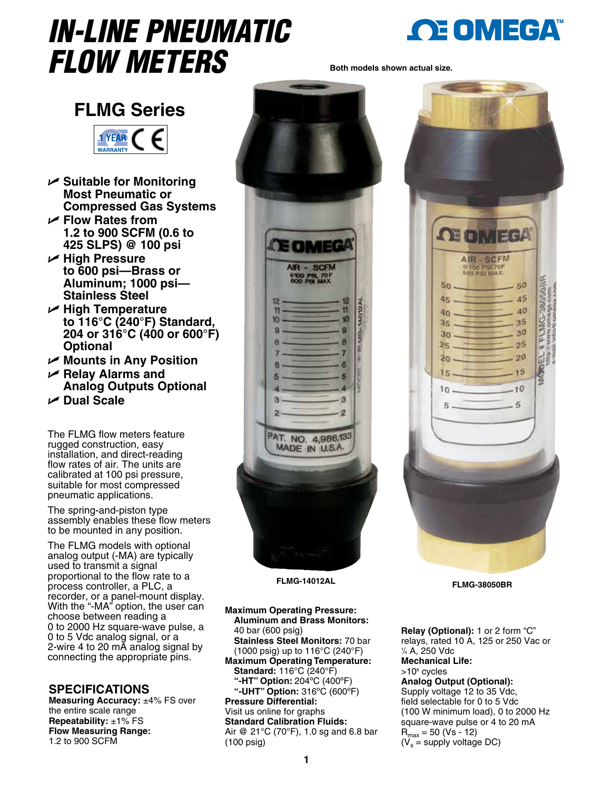# *IN-LINE PNEUMATIC FLOW METERS*



**OE OMEGA** 

**AIR-SCFM** 

100 PSI 70F

 $35$ 

 $25$ 

20

 $-15$ 

 $-10$ 

 $-5$ 

FLM 30

岀

 $50$  $4<sup>2</sup>$ 

40

 $35$ 

30

25

 $50<sub>2</sub>$ 

 $15 -$ 

 $10 -$ 

 $\mathbb{R}$ 

**Both models shown actual size.**





- U **Suitable for Monitoring Most Pneumatic or Compressed Gas Systems**
- U **Flow Rates from 1.2 to 900 SCFM (0.6 to 425 SLPS) @ 100 psi**
- U **High Pressure to 600 psi—Brass or Aluminum; 1000 psi— Stainless Steel**
- U **High Temperature to 116°C (240°F) Standard, 204 or 316°C (400 or 600°F) Optional**
- U **Mounts in Any Position**
- U **Relay Alarms and Analog Outputs Optional**

U **Dual Scale**

The FLMG flow meters feature rugged construction, easy installation, and direct-reading flow rates of air. The units are calibrated at 100 psi pressure, suitable for most compressed pneumatic applications.

The spring-and-piston type assembly enables these flow meters to be mounted in any position.

The FLMG models with optional analog output (-MA) are typically used to transmit a signal proportional to the flow rate to a process controller, a PLC, a recorder, or a panel-mount display. With the "-MA" option, the user can choose between reading a 0 to 2000 Hz square-wave pulse, a 0 to 5 Vdc analog signal, or a 2-wire 4 to 20 mA analog signal by connecting the appropriate pins.

## **SPECIFICATIONS**

**Measuring Accuracy:** ±4% FS over the entire scale range **Repeatability:** ±1% FS **Flow Measuring Range:** 1.2 to 900 SCFM



**FLMG-38050BR FLMG-14012AL** 

**Maximum Operating Pressure: Aluminum and Brass Monitors:** 40 bar (600 psig) **Stainless Steel Monitors:** 70 bar (1000 psig) up to 116°C (240°F) **Maximum Operating Temperature: Standard:** 116°C (240°F) **"-HT" Option:** 204ºC (400ºF) **"-UHT" Option:** 316ºC (600ºF) **Pressure Differential:**  Visit us online for graphs **Standard Calibration Fluids:** Air @ 21°C (70°F), 1.0 sg and 6.8 bar (100 psig)

**Relay (Optional):** 1 or 2 form "C" relays, rated 10 A, 125 or 250 Vac or 1 */*4 A, 250 Vdc **Mechanical Life:** >10<sup>6</sup> cycles **Analog Output (Optional):** Supply voltage 12 to 35 Vdc, field selectable for 0 to 5 Vdc (100 W minimum load), 0 to 2000 Hz square-wave pulse or 4 to 20 mA  $R_{max} = 50 (Vs - 12)$  $(V_s =$  supply voltage DC)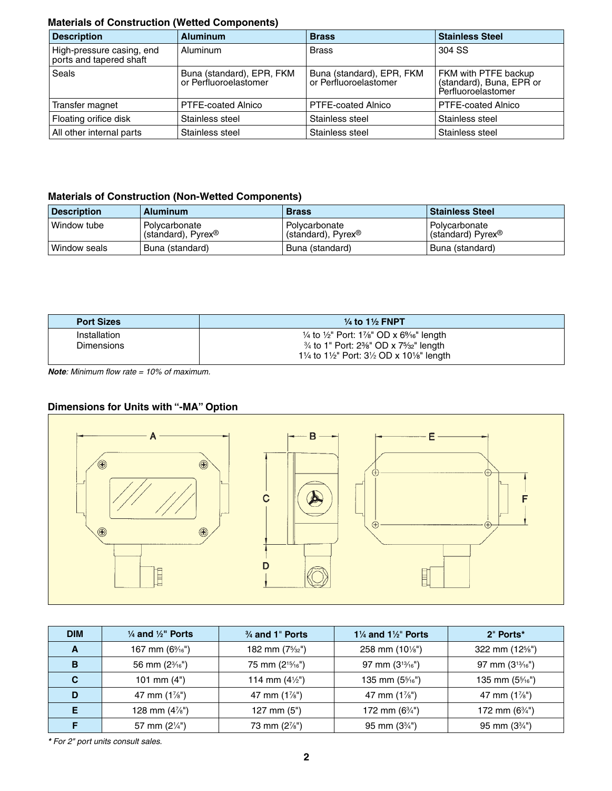#### **Materials of Construction (Wetted Components)**

| <b>Description</b>                                   | <b>Aluminum</b>                                    | <b>Brass</b>                                       | <b>Stainless Steel</b>                                                 |
|------------------------------------------------------|----------------------------------------------------|----------------------------------------------------|------------------------------------------------------------------------|
| High-pressure casing, end<br>ports and tapered shaft | Aluminum                                           | <b>Brass</b>                                       | 304 SS                                                                 |
| <b>Seals</b>                                         | Buna (standard), EPR, FKM<br>or Perfluoroelastomer | Buna (standard), EPR, FKM<br>or Perfluoroelastomer | FKM with PTFE backup<br>(standard), Buna, EPR or<br>Perfluoroelastomer |
| Transfer magnet                                      | PTFE-coated Alnico                                 | PTFE-coated Alnico                                 | PTFE-coated Alnico                                                     |
| Floating orifice disk                                | Stainless steel                                    | Stainless steel                                    | Stainless steel                                                        |
| All other internal parts                             | Stainless steel                                    | Stainless steel                                    | Stainless steel                                                        |

### **Materials of Construction (Non-Wetted Components)**

| <b>Description</b> | <b>Aluminum</b>                                    | <b>Brass</b>                                       | <b>Stainless Steel</b>                         |
|--------------------|----------------------------------------------------|----------------------------------------------------|------------------------------------------------|
| Window tube        | Polycarbonate<br>(standard), $P$ yrex <sup>®</sup> | Polycarbonate<br>(standard), $P$ yrex <sup>®</sup> | Polvcarbonate<br>(standard) Pyrex <sup>®</sup> |
| Window seals       | Buna (standard)                                    | Buna (standard)                                    | Buna (standard)                                |

| <b>Port Sizes</b>                 | $\frac{1}{4}$ to 1 $\frac{1}{2}$ FNPT                                                                                                    |
|-----------------------------------|------------------------------------------------------------------------------------------------------------------------------------------|
| Installation<br><b>Dimensions</b> | $\frac{1}{4}$ to $\frac{1}{2}$ " Port: 1%" OD x 6%" length<br>$\frac{3}{4}$ to 1" Port: 2 $\frac{3}{8}$ " OD x 7 $\frac{5}{32}$ " length |
|                                   | 11/4 to 11/2" Port: $3\frac{1}{2}$ OD x 101/8" length                                                                                    |

*Note: Minimum flow rate = 10% of maximum.*

### **Dimensions for Units with "-MA" Option**



| <b>DIM</b> | $\frac{1}{4}$ and $\frac{1}{2}$ " Ports | $\frac{3}{4}$ and 1" Ports   | 1 $\frac{1}{4}$ and 1 $\frac{1}{2}$ " Ports | 2" Ports*                |
|------------|-----------------------------------------|------------------------------|---------------------------------------------|--------------------------|
| A          | 167 mm $(6\%$ <sup>"</sup> )            | 182 mm $(7\frac{5}{32})$     | 258 mm $(10\frac{1}{8})$                    | 322 mm (12%")            |
| B          | 56 mm $(2\frac{3}{16})$                 | 75 mm (2 <sup>15/16"</sup> ) | 97 mm $(3^{13}/16^{11})$                    | 97 mm $(3^{13}/16^{11})$ |
| C          | 101 mm $(4")$                           | 114 mm $(4\frac{1}{2})$      | 135 mm $(5\frac{5}{16})$                    | 135 mm $(5\frac{5}{16})$ |
| D          | 47 mm $(1\frac{7}{8})$                  | 47 mm $(1\frac{7}{8})$       | 47 mm $(1\frac{7}{8})$                      | 47 mm $(1\frac{7}{8})$   |
| Е          | 128 mm $(4\frac{7}{8})$                 | 127 mm $(5")$                | 172 mm $(6\frac{3}{4})$                     | 172 mm $(6\frac{3}{4})$  |
|            | 57 mm $(2\frac{1}{4})$                  | 73 mm (2%")                  | 95 mm $(3\frac{3}{4})$                      | 95 mm $(3\frac{3}{4})$   |

*\* For 2" port units consult sales.*